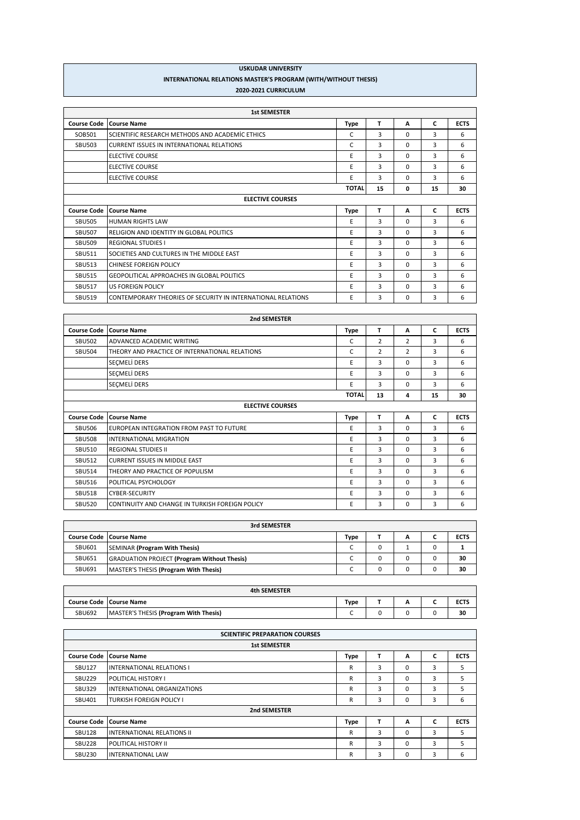| <b>USKUDAR UNIVERSITY</b>                                             |
|-----------------------------------------------------------------------|
| <b>INTERNATIONAL RELATIONS MASTER'S PROGRAM (WITH/WITHOUT THESIS)</b> |
| 2020-2021 CURRICULUM                                                  |

|                    | <b>1st SEMESTER</b>                                          |              |    |          |    |             |
|--------------------|--------------------------------------------------------------|--------------|----|----------|----|-------------|
| <b>Course Code</b> | <b>Course Name</b>                                           | Type         | т  | A        | C  | <b>ECTS</b> |
| SOB501             | SCIENTIFIC RESEARCH METHODS AND ACADEMIC ETHICS              | C            | 3  | $\Omega$ | 3  | 6           |
| <b>SBU503</b>      | CURRENT ISSUES IN INTERNATIONAL RELATIONS                    | C            | 3  | $\Omega$ | 3  | 6           |
|                    | <b>ELECTIVE COURSE</b>                                       | E            | 3  | $\Omega$ | 3  | 6           |
|                    | <b>ELECTIVE COURSE</b>                                       | E            | 3  | $\Omega$ | 3  | 6           |
|                    | <b>ELECTIVE COURSE</b>                                       | E            | 3  | $\Omega$ | 3  | 6           |
|                    |                                                              | <b>TOTAL</b> | 15 | 0        | 15 | 30          |
|                    | <b>ELECTIVE COURSES</b>                                      |              |    |          |    |             |
| <b>Course Code</b> | <b>Course Name</b>                                           | Type         | т  | A        | C  | <b>ECTS</b> |
| <b>SBU505</b>      | <b>HUMAN RIGHTS LAW</b>                                      | E            | 3  | $\Omega$ | 3  | 6           |
| <b>SBU507</b>      | RELIGION AND IDENTITY IN GLOBAL POLITICS                     | E            | 3  | $\Omega$ | 3  | 6           |
| <b>SBU509</b>      | <b>REGIONAL STUDIES I</b>                                    | E            | 3  | $\Omega$ | 3  | 6           |
| <b>SBU511</b>      | SOCIETIES AND CULTURES IN THE MIDDLE EAST                    | E            | 3  | $\Omega$ | 3  | 6           |
| <b>SBU513</b>      | CHINESE FOREIGN POLICY                                       | E            | 3  | $\Omega$ | 3  | 6           |
| <b>SBU515</b>      | <b>GEOPOLITICAL APPROACHES IN GLOBAL POLITICS</b>            | E            | 3  | $\Omega$ | 3  | 6           |
| <b>SBU517</b>      | <b>US FOREIGN POLICY</b>                                     | E            | 3  | $\Omega$ | 3  | 6           |
| <b>SBU519</b>      | CONTEMPORARY THEORIES OF SECURITY IN INTERNATIONAL RELATIONS | E            | 3  | 0        | 3  | 6           |

|                    | 2nd SEMESTER                                           |              |                |                |    |             |
|--------------------|--------------------------------------------------------|--------------|----------------|----------------|----|-------------|
|                    | <b>Course Code Course Name</b>                         | <b>Type</b>  | т              | A              | C  | <b>ECTS</b> |
| <b>SBU502</b>      | ADVANCED ACADEMIC WRITING                              | C            | $\overline{2}$ | 2              | 3  | 6           |
| <b>SBU504</b>      | THEORY AND PRACTICE OF INTERNATIONAL RELATIONS         | C            | $\overline{2}$ | $\overline{2}$ | 3  | 6           |
|                    | SEÇMELİ DERS                                           | E            | 3              | 0              | 3  | 6           |
|                    | <b>SECMELİ DERS</b>                                    | E            | 3              | 0              | 3  | 6           |
|                    | <b>SECMELI DERS</b>                                    | E            | 3              | $\Omega$       | 3  | 6           |
|                    |                                                        | <b>TOTAL</b> | 13             | 4              | 15 | 30          |
|                    | <b>ELECTIVE COURSES</b>                                |              |                |                |    |             |
| <b>Course Code</b> | <b>Course Name</b>                                     | <b>Type</b>  | т              | A              | C  | <b>ECTS</b> |
| <b>SBU506</b>      | EUROPEAN INTEGRATION FROM PAST TO FUTURE               | E            | 3              | 0              | 3  | 6           |
| <b>SBU508</b>      | <b>INTERNATIONAL MIGRATION</b>                         | E            | 3              | 0              | 3  | 6           |
| <b>SBU510</b>      | <b>REGIONAL STUDIES II</b>                             | E            | 3              | $\Omega$       | 3  | 6           |
| <b>SBU512</b>      | <b>CURRENT ISSUES IN MIDDLE EAST</b>                   | E            | 3              | $\Omega$       | 3  | 6           |
| <b>SBU514</b>      | THEORY AND PRACTICE OF POPULISM                        | E            | 3              | 0              | 3  | 6           |
| <b>SBU516</b>      | <b>POLITICAL PSYCHOLOGY</b>                            | E            | 3              | 0              | 3  | 6           |
| <b>SBU518</b>      | <b>CYBER-SECURITY</b>                                  | E            | 3              | 0              | 3  | 6           |
| <b>SBU520</b>      | <b>CONTINUITY AND CHANGE IN TURKISH FOREIGN POLICY</b> | E            | 3              | $\Omega$       | 3  | 6           |

| 3rd SEMESTER  |                                                    |      |  |   |  |             |  |
|---------------|----------------------------------------------------|------|--|---|--|-------------|--|
|               | <b>Course Code Course Name</b>                     | Type |  | А |  | <b>ECTS</b> |  |
| SBU601        | SEMINAR (Program With Thesis)                      |      |  |   |  |             |  |
| <b>SBU651</b> | <b>GRADUATION PROJECT (Program Without Thesis)</b> |      |  |   |  | 30          |  |
| SBU691        | MASTER'S THESIS (Program With Thesis)              |      |  |   |  | 30          |  |

| <b>Course Code Course Name</b>                         | Type | ~ | <b>ECTS</b> |
|--------------------------------------------------------|------|---|-------------|
| <b>SBU692</b><br>MASTER'S THESIS (Program With Thesis) |      |   | 30          |

| <b>SCIENTIFIC PREPARATION COURSES</b> |                                   |             |   |          |   |             |  |  |
|---------------------------------------|-----------------------------------|-------------|---|----------|---|-------------|--|--|
| <b>1st SEMESTER</b>                   |                                   |             |   |          |   |             |  |  |
| <b>Course Code</b>                    | <b>Course Name</b>                | <b>Type</b> | т | A        | C | <b>ECTS</b> |  |  |
| <b>SBU127</b>                         | <b>INTERNATIONAL RELATIONS I</b>  | R           | 3 | $\Omega$ | 3 | 5           |  |  |
| <b>SBU229</b>                         | POLITICAL HISTORY I               | R           | 3 | 0        | 3 | 5           |  |  |
| <b>SBU329</b>                         | INTERNATIONAL ORGANIZATIONS       | R           | 3 | 0        | 3 | 5           |  |  |
| SBU401                                | <b>TURKISH FOREIGN POLICY I</b>   | R           | 3 | 0        | 3 | 6           |  |  |
|                                       | 2nd SEMESTER                      |             |   |          |   |             |  |  |
| <b>Course Code</b>                    | <b>Course Name</b>                | <b>Type</b> | т | A        | C | <b>ECTS</b> |  |  |
| <b>SBU128</b>                         | <b>INTERNATIONAL RELATIONS II</b> | R           | 3 | $\Omega$ | 3 | 5           |  |  |
| <b>SBU228</b>                         | POLITICAL HISTORY II              | R           | 3 | 0        | 3 | 5           |  |  |
| <b>SBU230</b>                         | <b>INTERNATIONAL LAW</b>          | R           | 3 | 0        | 3 | 6           |  |  |